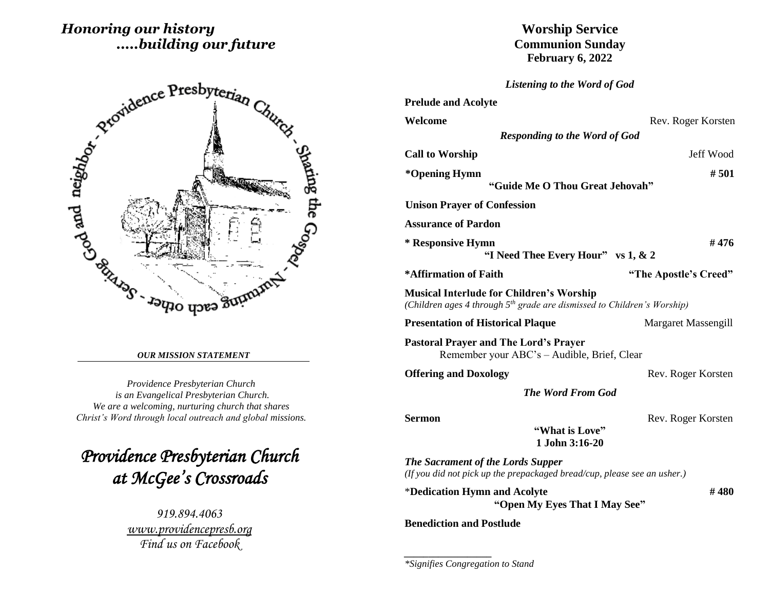# *Honoring our history .....building our future*



#### *OUR MISSION STATEMENT*

*Providence Presbyterian Church is an Evangelical Presbyterian Church. We are a welcoming, nurturing church that shares Christ's Word through local outreach and global missions.*

*Providence Presbyterian Church at McGee's Crossroads* 

> *919.894.4063 [www.providencepresb.org](http://www.providencepresb.org/) Find us on Facebook*

**Worship Service Communion Sunday February 6, 2022**

*Listening to the Word of God*

| <b>Prelude and Acolyte</b>                                                                                                   |                            |
|------------------------------------------------------------------------------------------------------------------------------|----------------------------|
| Welcome                                                                                                                      | Rev. Roger Korsten         |
| <b>Responding to the Word of God</b>                                                                                         |                            |
| <b>Call to Worship</b>                                                                                                       | Jeff Wood                  |
| *Opening Hymn                                                                                                                | # 501                      |
| "Guide Me O Thou Great Jehovah"                                                                                              |                            |
| <b>Unison Prayer of Confession</b>                                                                                           |                            |
| <b>Assurance of Pardon</b>                                                                                                   |                            |
| * Responsive Hymn<br>"I Need Thee Every Hour" vs 1, & 2                                                                      | #476                       |
| *Affirmation of Faith                                                                                                        | "The Apostle's Creed"      |
| <b>Musical Interlude for Children's Worship</b><br>(Children ages 4 through $5th$ grade are dismissed to Children's Worship) |                            |
| <b>Presentation of Historical Plaque</b>                                                                                     | <b>Margaret Massengill</b> |
| <b>Pastoral Prayer and The Lord's Prayer</b><br>Remember your ABC's – Audible, Brief, Clear                                  |                            |
| <b>Offering and Doxology</b>                                                                                                 | Rev. Roger Korsten         |
| <b>The Word From God</b>                                                                                                     |                            |
| <b>Sermon</b><br>"What is Love"<br>1 John 3:16-20                                                                            | Rev. Roger Korsten         |
| <b>The Sacrament of the Lords Supper</b><br>(If you did not pick up the prepackaged bread/cup, please see an usher.)         |                            |
| *Dedication Hymn and Acolyte<br>"Open My Eyes That I May See"                                                                | #480                       |
| <b>Benediction and Postlude</b>                                                                                              |                            |

*\*Signifies Congregation to Stand*

*\_\_\_\_\_\_\_\_\_\_\_\_\_\_\_\_\_\_*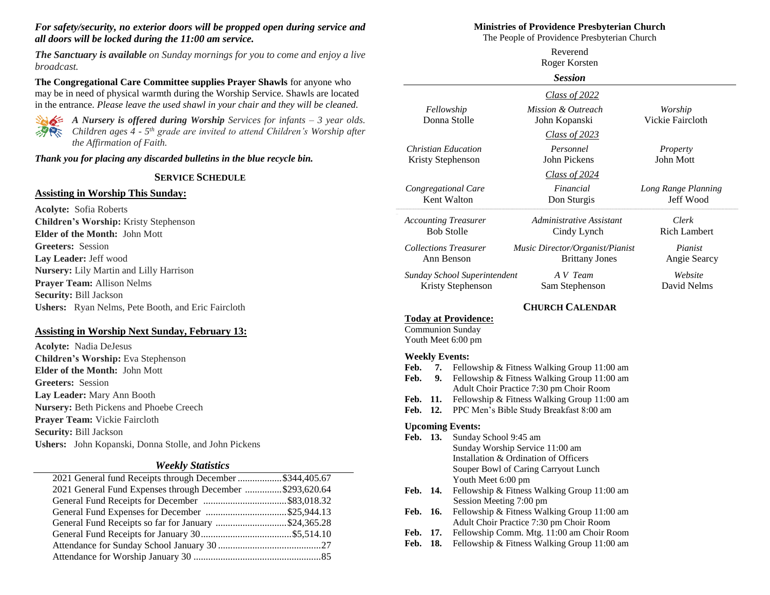### *For safety/security, no exterior doors will be propped open during service and all doors will be locked during the 11:00 am service.*

*The Sanctuary is available on Sunday mornings for you to come and enjoy a live broadcast.*

**The Congregational Care Committee supplies Prayer Shawls** for anyone who may be in need of physical warmth during the Worship Service. Shawls are located in the entrance. *Please leave the used shawl in your chair and they will be cleaned.*



*A Nursery is offered during Worship Services for infants – 3 year olds. Children ages 4 - 5 th grade are invited to attend Children's Worship after the Affirmation of Faith.*

*Thank you for placing any discarded bulletins in the blue recycle bin.*

### **SERVICE SCHEDULE**

### **Assisting in Worship This Sunday:**

**Acolyte:** Sofia Roberts **Children's Worship:** Kristy Stephenson **Elder of the Month:** John Mott **Greeters:** Session **Lay Leader:** Jeff wood **Nursery:** Lily Martin and Lilly Harrison **Prayer Team:** Allison Nelms **Security:** Bill Jackson **Ushers:** Ryan Nelms, Pete Booth, and Eric Faircloth

## **Assisting in Worship Next Sunday, February 13:**

**Acolyte:** Nadia DeJesus **Children's Worship:** Eva Stephenson **Elder of the Month:** John Mott **Greeters:** Session **Lay Leader:** Mary Ann Booth **Nursery:** Beth Pickens and Phoebe Creech **Prayer Team:** Vickie Faircloth **Security:** Bill Jackson **Ushers:** John Kopanski, Donna Stolle, and John Pickens

### *Weekly Statistics*

| 2021 General fund Receipts through December \$344,405.67 |  |
|----------------------------------------------------------|--|
| 2021 General Fund Expenses through December \$293,620.64 |  |
|                                                          |  |
|                                                          |  |
| General Fund Receipts so far for January \$24,365.28     |  |
|                                                          |  |
|                                                          |  |
|                                                          |  |
|                                                          |  |

## **Ministries of Providence Presbyterian Church**

The People of Providence Presbyterian Church

|                                                   |                             | Reverend<br>Roger Korsten                                                                                                             |                                  |
|---------------------------------------------------|-----------------------------|---------------------------------------------------------------------------------------------------------------------------------------|----------------------------------|
|                                                   |                             | <b>Session</b>                                                                                                                        |                                  |
|                                                   |                             | Class of 2022                                                                                                                         |                                  |
| Fellowship                                        | Donna Stolle                | Mission & Outreach<br>John Kopanski                                                                                                   | Worship<br>Vickie Faircloth      |
|                                                   |                             | Class of $2023$                                                                                                                       |                                  |
| <b>Christian Education</b><br>Kristy Stephenson   |                             | Personnel<br>John Pickens                                                                                                             | Property<br>John Mott            |
|                                                   |                             | Class of 2024                                                                                                                         |                                  |
| Congregational Care<br>Kent Walton                |                             | Financial<br>Don Sturgis                                                                                                              | Long Range Planning<br>Jeff Wood |
| <b>Accounting Treasurer</b><br><b>Bob Stolle</b>  |                             | Administrative Assistant<br>Cindy Lynch                                                                                               | Clerk<br><b>Rich Lambert</b>     |
| <b>Collections Treasurer</b><br>Ann Benson        |                             | Music Director/Organist/Pianist<br><b>Brittany Jones</b>                                                                              | Pianist<br>Angie Searcy          |
| Sunday School Superintendent<br>Kristy Stephenson |                             | A V Team<br>Sam Stephenson                                                                                                            | Website<br>David Nelms           |
|                                                   |                             | <b>CHURCH CALENDAR</b>                                                                                                                |                                  |
| <b>Communion Sunday</b><br>Youth Meet 6:00 pm     | <b>Today at Providence:</b> |                                                                                                                                       |                                  |
| <b>Weekly Events:</b><br>Feb.<br>7.<br>9.<br>Feb. |                             | Fellowship & Fitness Walking Group 11:00 am<br>Fellowship & Fitness Walking Group 11:00 am<br>Adult Choir Practice 7:30 pm Choir Room |                                  |
| Feb.<br>11.<br>12.<br>Feb.                        |                             | Fellowship & Fitness Walking Group 11:00 am<br>PPC Men's Bible Study Breakfast 8:00 am                                                |                                  |

- **Feb. 13.** Sunday School 9:45 am Sunday Worship Service 11:00 am Installation & Ordination of Officers Souper Bowl of Caring Carryout Lunch Youth Meet 6:00 pm
- Feb. 14. Fellowship & Fitness Walking Group 11:00 am Session Meeting 7:00 pm
- Feb. 16. Fellowship & Fitness Walking Group 11:00 am Adult Choir Practice 7:30 pm Choir Room
- **Feb. 17.** Fellowship Comm. Mtg. 11:00 am Choir Room
- Feb. 18. Fellowship & Fitness Walking Group 11:00 am